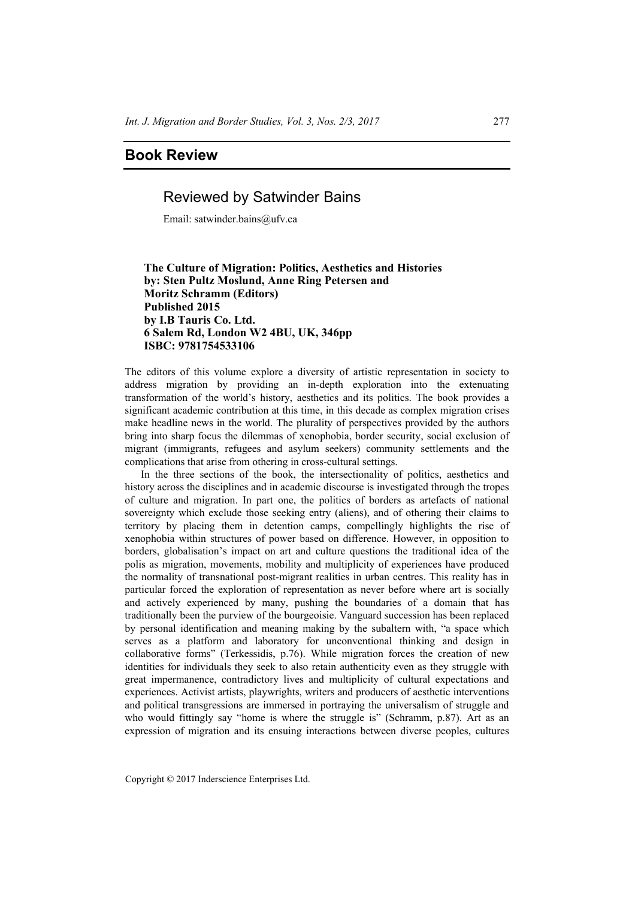# **Book Review**

## Reviewed by Satwinder Bains

Email: satwinder.bains@ufv.ca

## **The Culture of Migration: Politics, Aesthetics and Histories by: Sten Pultz Moslund, Anne Ring Petersen and Moritz Schramm (Editors) Published 2015 by I.B Tauris Co. Ltd. 6 Salem Rd, London W2 4BU, UK, 346pp ISBC: 9781754533106**

The editors of this volume explore a diversity of artistic representation in society to address migration by providing an in-depth exploration into the extenuating transformation of the world's history, aesthetics and its politics. The book provides a significant academic contribution at this time, in this decade as complex migration crises make headline news in the world. The plurality of perspectives provided by the authors bring into sharp focus the dilemmas of xenophobia, border security, social exclusion of migrant (immigrants, refugees and asylum seekers) community settlements and the complications that arise from othering in cross-cultural settings.

In the three sections of the book, the intersectionality of politics, aesthetics and history across the disciplines and in academic discourse is investigated through the tropes of culture and migration. In part one, the politics of borders as artefacts of national sovereignty which exclude those seeking entry (aliens), and of othering their claims to territory by placing them in detention camps, compellingly highlights the rise of xenophobia within structures of power based on difference. However, in opposition to borders, globalisation's impact on art and culture questions the traditional idea of the polis as migration, movements, mobility and multiplicity of experiences have produced the normality of transnational post-migrant realities in urban centres. This reality has in particular forced the exploration of representation as never before where art is socially and actively experienced by many, pushing the boundaries of a domain that has traditionally been the purview of the bourgeoisie. Vanguard succession has been replaced by personal identification and meaning making by the subaltern with, "a space which serves as a platform and laboratory for unconventional thinking and design in collaborative forms" (Terkessidis, p.76). While migration forces the creation of new identities for individuals they seek to also retain authenticity even as they struggle with great impermanence, contradictory lives and multiplicity of cultural expectations and experiences. Activist artists, playwrights, writers and producers of aesthetic interventions and political transgressions are immersed in portraying the universalism of struggle and who would fittingly say "home is where the struggle is" (Schramm, p.87). Art as an expression of migration and its ensuing interactions between diverse peoples, cultures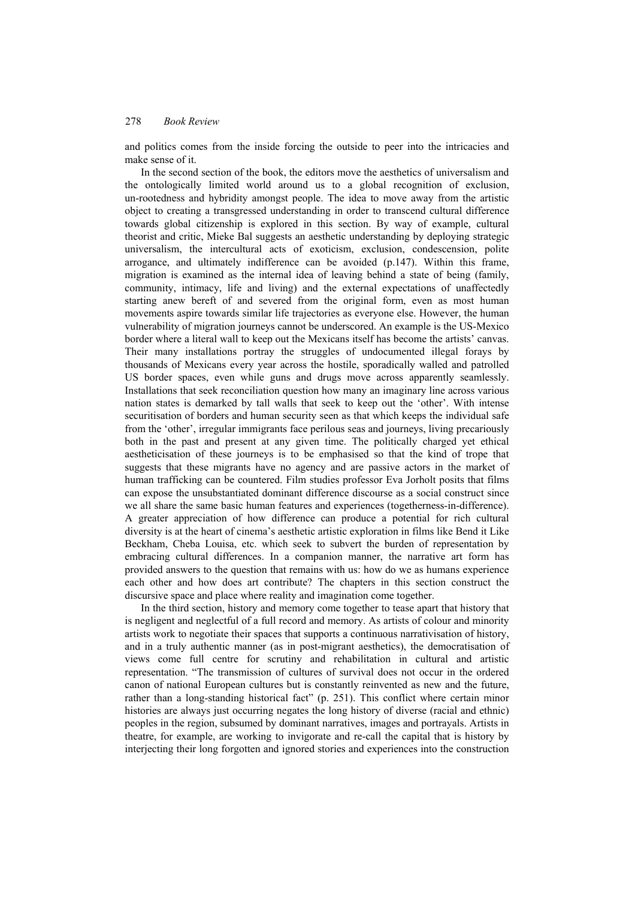### 278 *Book Review*

and politics comes from the inside forcing the outside to peer into the intricacies and make sense of it.

In the second section of the book, the editors move the aesthetics of universalism and the ontologically limited world around us to a global recognition of exclusion, un-rootedness and hybridity amongst people. The idea to move away from the artistic object to creating a transgressed understanding in order to transcend cultural difference towards global citizenship is explored in this section. By way of example, cultural theorist and critic, Mieke Bal suggests an aesthetic understanding by deploying strategic universalism, the intercultural acts of exoticism, exclusion, condescension, polite arrogance, and ultimately indifference can be avoided (p.147). Within this frame, migration is examined as the internal idea of leaving behind a state of being (family, community, intimacy, life and living) and the external expectations of unaffectedly starting anew bereft of and severed from the original form, even as most human movements aspire towards similar life trajectories as everyone else. However, the human vulnerability of migration journeys cannot be underscored. An example is the US-Mexico border where a literal wall to keep out the Mexicans itself has become the artists' canvas. Their many installations portray the struggles of undocumented illegal forays by thousands of Mexicans every year across the hostile, sporadically walled and patrolled US border spaces, even while guns and drugs move across apparently seamlessly. Installations that seek reconciliation question how many an imaginary line across various nation states is demarked by tall walls that seek to keep out the 'other'. With intense securitisation of borders and human security seen as that which keeps the individual safe from the 'other', irregular immigrants face perilous seas and journeys, living precariously both in the past and present at any given time. The politically charged yet ethical aestheticisation of these journeys is to be emphasised so that the kind of trope that suggests that these migrants have no agency and are passive actors in the market of human trafficking can be countered. Film studies professor Eva Jorholt posits that films can expose the unsubstantiated dominant difference discourse as a social construct since we all share the same basic human features and experiences (togetherness-in-difference). A greater appreciation of how difference can produce a potential for rich cultural diversity is at the heart of cinema's aesthetic artistic exploration in films like Bend it Like Beckham, Cheba Louisa, etc. which seek to subvert the burden of representation by embracing cultural differences. In a companion manner, the narrative art form has provided answers to the question that remains with us: how do we as humans experience each other and how does art contribute? The chapters in this section construct the discursive space and place where reality and imagination come together.

In the third section, history and memory come together to tease apart that history that is negligent and neglectful of a full record and memory. As artists of colour and minority artists work to negotiate their spaces that supports a continuous narrativisation of history, and in a truly authentic manner (as in post-migrant aesthetics), the democratisation of views come full centre for scrutiny and rehabilitation in cultural and artistic representation. "The transmission of cultures of survival does not occur in the ordered canon of national European cultures but is constantly reinvented as new and the future, rather than a long-standing historical fact" (p. 251). This conflict where certain minor histories are always just occurring negates the long history of diverse (racial and ethnic) peoples in the region, subsumed by dominant narratives, images and portrayals. Artists in theatre, for example, are working to invigorate and re-call the capital that is history by interjecting their long forgotten and ignored stories and experiences into the construction